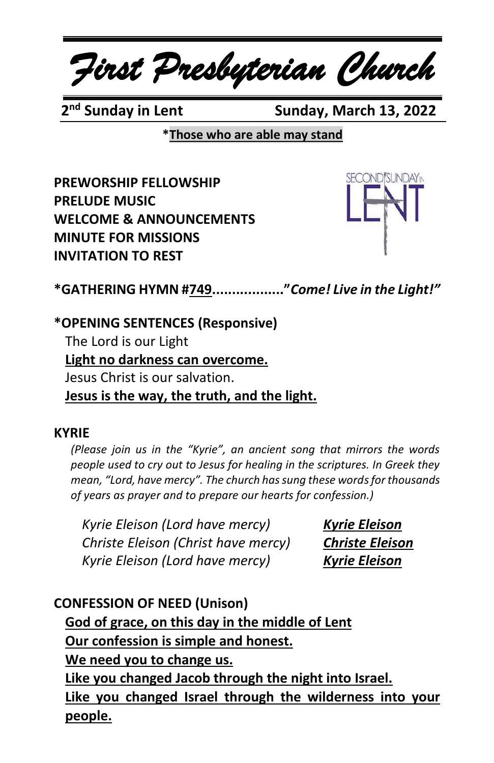*First Presbyterian Church*

2<sup>nd</sup> Sundav in Lent

**Sunday, March 13, 2022** 

**\*Those who are able may stand**

**PREWORSHIP FELLOWSHIP PRELUDE MUSIC WELCOME & ANNOUNCEMENTS MINUTE FOR MISSIONS INVITATION TO REST**



**\*GATHERING HYMN #749.................."***Come! Live in the Light!"*

**\*OPENING SENTENCES (Responsive)** The Lord is our Light **Light no darkness can overcome.** Jesus Christ is our salvation. **Jesus is the way, the truth, and the light.**

#### **KYRIE**

*(Please join us in the "Kyrie", an ancient song that mirrors the words people used to cry out to Jesus for healing in the scriptures. In Greek they mean, "Lord, have mercy". The church has sung these words for thousands of years as prayer and to prepare our hearts for confession.)*

*Kyrie Eleison (Lord have mercy) Kyrie Eleison Christe Eleison (Christ have mercy) Christe Eleison Kyrie Eleison (Lord have mercy) Kyrie Eleison*

**CONFESSION OF NEED (Unison) God of grace, on this day in the middle of Lent Our confession is simple and honest. We need you to change us. Like you changed Jacob through the night into Israel. Like you changed Israel through the wilderness into your people.**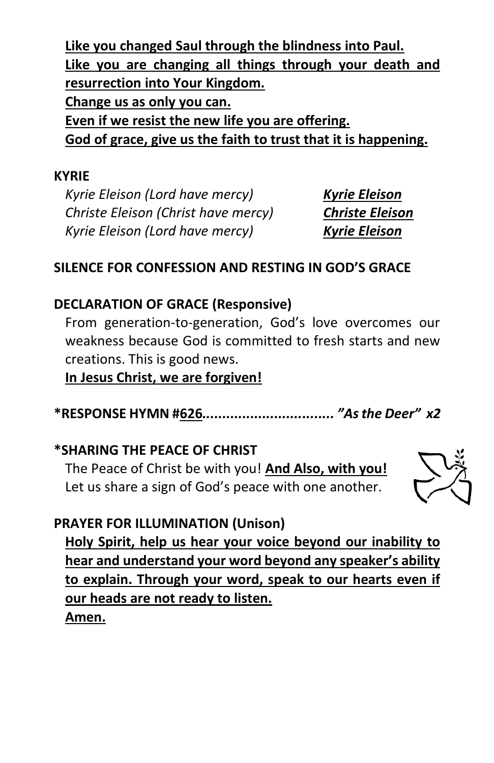**Like you changed Saul through the blindness into Paul. Like you are changing all things through your death and resurrection into Your Kingdom. Change us as only you can. Even if we resist the new life you are offering. God of grace, give us the faith to trust that it is happening.**

#### **KYRIE**

*Kyrie Eleison (Lord have mercy) Kyrie Eleison Christe Eleison (Christ have mercy) Christe Eleison Kyrie Eleison (Lord have mercy) Kyrie Eleison*

## **SILENCE FOR CONFESSION AND RESTING IN GOD'S GRACE**

#### **DECLARATION OF GRACE (Responsive)**

From generation-to-generation, God's love overcomes our weakness because God is committed to fresh starts and new creations. This is good news.

**In Jesus Christ, we are forgiven!**

**\*RESPONSE HYMN #626***................................. "As the Deer" x2*

#### **\*SHARING THE PEACE OF CHRIST**

The Peace of Christ be with you! **And Also, with you!** Let us share a sign of God's peace with one another.



## **PRAYER FOR ILLUMINATION (Unison)**

**Holy Spirit, help us hear your voice beyond our inability to hear and understand your word beyond any speaker's ability to explain. Through your word, speak to our hearts even if our heads are not ready to listen. Amen.**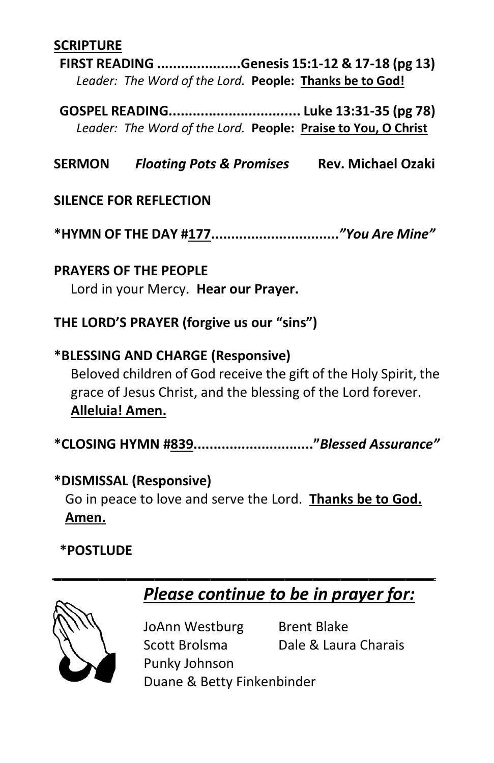#### **SCRIPTURE**

**FIRST READING .....................Genesis 15:1-12 & 17-18 (pg 13)** *Leader: The Word of the Lord.* **People: Thanks be to God!**

**GOSPEL READING................................. Luke 13:31-35 (pg 78)** *Leader: The Word of the Lord.* **People: Praise to You, O Christ**

**SERMON** *Floating Pots & Promises* **Rev. Michael Ozaki**

#### **SILENCE FOR REFLECTION**

**\*HYMN OF THE DAY #177................................***"You Are Mine"*

## **PRAYERS OF THE PEOPLE** Lord in your Mercy. **Hear our Prayer.**

## **THE LORD'S PRAYER (forgive us our "sins")**

**\*BLESSING AND CHARGE (Responsive)**  Beloved children of God receive the gift of the Holy Spirit, the grace of Jesus Christ, and the blessing of the Lord forever. **Alleluia! Amen.**

**\*CLOSING HYMN #839.............................."***Blessed Assurance"*

## **\*DISMISSAL (Responsive)**

Go in peace to love and serve the Lord. **Thanks be to God. Amen.**

*\_\_\_\_\_\_\_\_\_\_\_\_\_\_\_\_\_\_\_\_\_\_\_\_\_\_\_\_\_\_\_\_\_\_\_\_\_\_\_\_\_*

## **\*POSTLUDE**

# *Please continue to be in prayer for:*



JoAnn Westburg Brent Blake Scott Brolsma Dale & Laura Charais Punky Johnson

Duane & Betty Finkenbinder